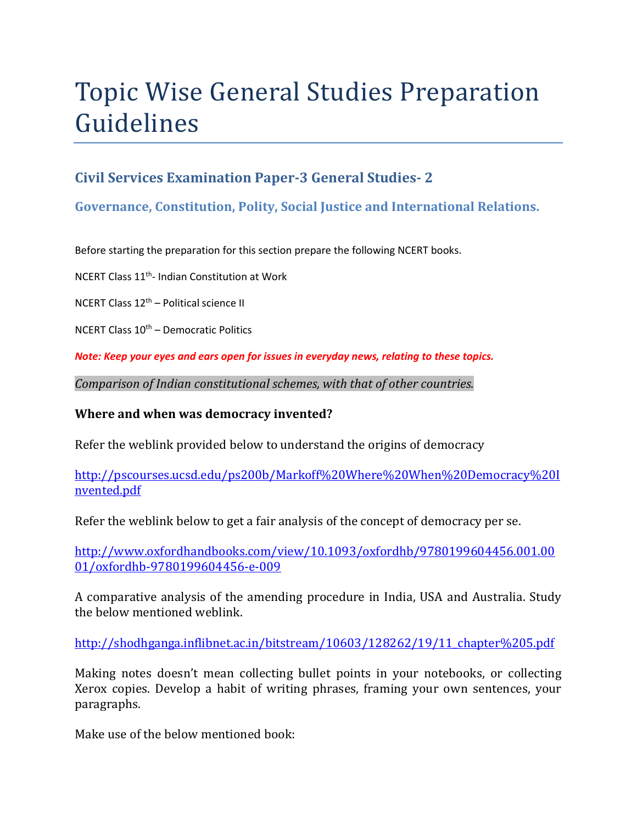# Topic Wise General Studies Preparation Guidelines

## **Civil Services Examination Paper-3 General Studies- 2**

## **Governance, Constitution, Polity, Social Justice and International Relations.**

Before starting the preparation for this section prepare the following NCERT books.

NCERT Class 11th- Indian Constitution at Work

NCERT Class 12th – Political science II

NCERT Class  $10<sup>th</sup>$  – Democratic Politics

*Note: Keep your eyes and ears open for issues in everyday news, relating to these topics.* 

*Comparison of Indian constitutional schemes, with that of other countries.* 

#### **Where and when was democracy invented?**

Refer the weblink provided below to understand the origins of democracy

http://pscourses.ucsd.edu/ps200b/Markoff%20Where%20When%20Democracy%20I nvented.pdf

Refer the weblink below to get a fair analysis of the concept of democracy per se.

http://www.oxfordhandbooks.com/view/10.1093/oxfordhb/9780199604456.001.00 01/oxfordhb-9780199604456-e-009

A comparative analysis of the amending procedure in India, USA and Australia. Study the below mentioned weblink.

http://shodhganga.inflibnet.ac.in/bitstream/10603/128262/19/11\_chapter%205.pdf

Making notes doesn't mean collecting bullet points in your notebooks, or collecting Xerox copies. Develop a habit of writing phrases, framing your own sentences, your paragraphs.

Make use of the below mentioned book: